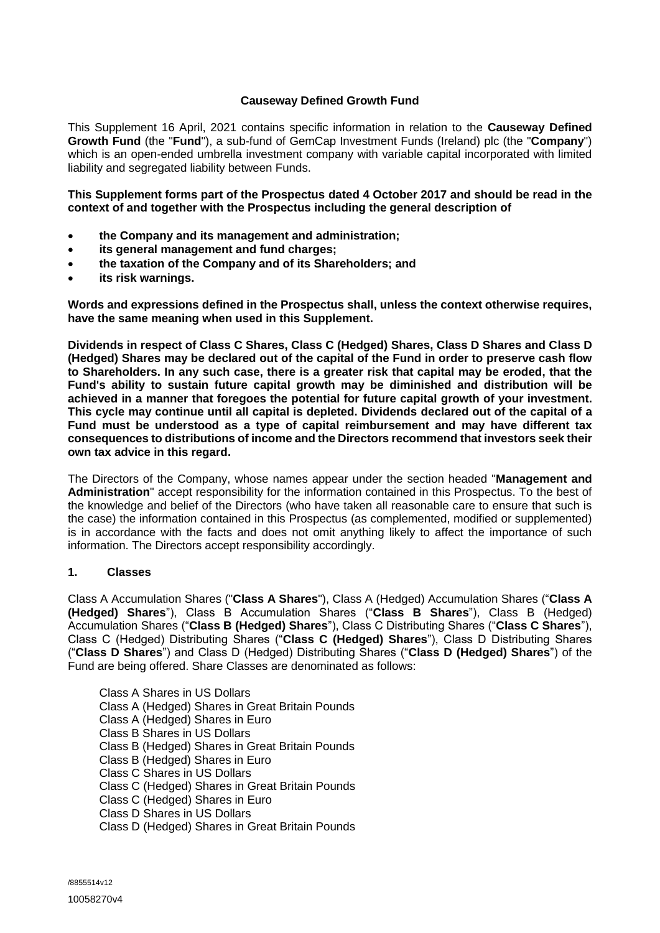## **Causeway Defined Growth Fund**

This Supplement 16 April, 2021 contains specific information in relation to the **Causeway Defined Growth Fund** (the "**Fund**"), a sub-fund of GemCap Investment Funds (Ireland) plc (the "**Company**") which is an open-ended umbrella investment company with variable capital incorporated with limited liability and segregated liability between Funds.

**This Supplement forms part of the Prospectus dated 4 October 2017 and should be read in the context of and together with the Prospectus including the general description of**

- **the Company and its management and administration;**
- **its general management and fund charges;**
- **the taxation of the Company and of its Shareholders; and**
- **its risk warnings.**

**Words and expressions defined in the Prospectus shall, unless the context otherwise requires, have the same meaning when used in this Supplement.**

**Dividends in respect of Class C Shares, Class C (Hedged) Shares, Class D Shares and Class D (Hedged) Shares may be declared out of the capital of the Fund in order to preserve cash flow to Shareholders. In any such case, there is a greater risk that capital may be eroded, that the Fund's ability to sustain future capital growth may be diminished and distribution will be achieved in a manner that foregoes the potential for future capital growth of your investment. This cycle may continue until all capital is depleted. Dividends declared out of the capital of a Fund must be understood as a type of capital reimbursement and may have different tax consequences to distributions of income and the Directors recommend that investors seek their own tax advice in this regard.**

The Directors of the Company, whose names appear under the section headed "**Management and Administration**" accept responsibility for the information contained in this Prospectus. To the best of the knowledge and belief of the Directors (who have taken all reasonable care to ensure that such is the case) the information contained in this Prospectus (as complemented, modified or supplemented) is in accordance with the facts and does not omit anything likely to affect the importance of such information. The Directors accept responsibility accordingly.

### **1. Classes**

Class A Accumulation Shares ("**Class A Shares**"), Class A (Hedged) Accumulation Shares ("**Class A (Hedged) Shares**"), Class B Accumulation Shares ("**Class B Shares**"), Class B (Hedged) Accumulation Shares ("**Class B (Hedged) Shares**"), Class C Distributing Shares ("**Class C Shares**"), Class C (Hedged) Distributing Shares ("**Class C (Hedged) Shares**"), Class D Distributing Shares ("**Class D Shares**") and Class D (Hedged) Distributing Shares ("**Class D (Hedged) Shares**") of the Fund are being offered. Share Classes are denominated as follows:

Class A Shares in US Dollars Class A (Hedged) Shares in Great Britain Pounds Class A (Hedged) Shares in Euro Class B Shares in US Dollars Class B (Hedged) Shares in Great Britain Pounds Class B (Hedged) Shares in Euro Class C Shares in US Dollars Class C (Hedged) Shares in Great Britain Pounds Class C (Hedged) Shares in Euro Class D Shares in US Dollars Class D (Hedged) Shares in Great Britain Pounds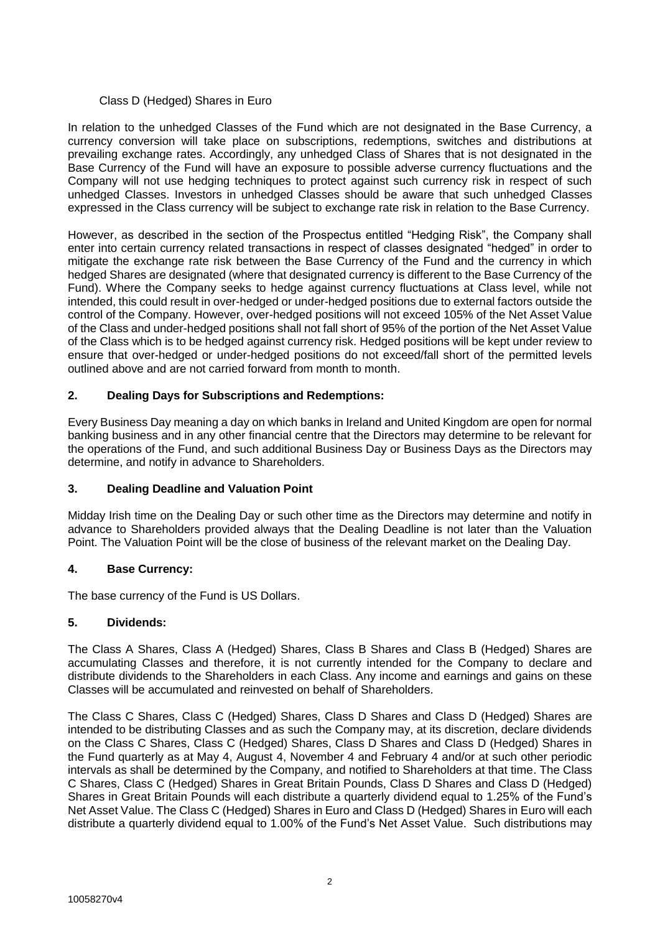## Class D (Hedged) Shares in Euro

In relation to the unhedged Classes of the Fund which are not designated in the Base Currency, a currency conversion will take place on subscriptions, redemptions, switches and distributions at prevailing exchange rates. Accordingly, any unhedged Class of Shares that is not designated in the Base Currency of the Fund will have an exposure to possible adverse currency fluctuations and the Company will not use hedging techniques to protect against such currency risk in respect of such unhedged Classes. Investors in unhedged Classes should be aware that such unhedged Classes expressed in the Class currency will be subject to exchange rate risk in relation to the Base Currency.

However, as described in the section of the Prospectus entitled "Hedging Risk", the Company shall enter into certain currency related transactions in respect of classes designated "hedged" in order to mitigate the exchange rate risk between the Base Currency of the Fund and the currency in which hedged Shares are designated (where that designated currency is different to the Base Currency of the Fund). Where the Company seeks to hedge against currency fluctuations at Class level, while not intended, this could result in over-hedged or under-hedged positions due to external factors outside the control of the Company. However, over-hedged positions will not exceed 105% of the Net Asset Value of the Class and under-hedged positions shall not fall short of 95% of the portion of the Net Asset Value of the Class which is to be hedged against currency risk. Hedged positions will be kept under review to ensure that over-hedged or under-hedged positions do not exceed/fall short of the permitted levels outlined above and are not carried forward from month to month.

# **2. Dealing Days for Subscriptions and Redemptions:**

Every Business Day meaning a day on which banks in Ireland and United Kingdom are open for normal banking business and in any other financial centre that the Directors may determine to be relevant for the operations of the Fund, and such additional Business Day or Business Days as the Directors may determine, and notify in advance to Shareholders.

# **3. Dealing Deadline and Valuation Point**

Midday Irish time on the Dealing Day or such other time as the Directors may determine and notify in advance to Shareholders provided always that the Dealing Deadline is not later than the Valuation Point. The Valuation Point will be the close of business of the relevant market on the Dealing Day.

# **4. Base Currency:**

The base currency of the Fund is US Dollars.

# **5. Dividends:**

The Class A Shares, Class A (Hedged) Shares, Class B Shares and Class B (Hedged) Shares are accumulating Classes and therefore, it is not currently intended for the Company to declare and distribute dividends to the Shareholders in each Class. Any income and earnings and gains on these Classes will be accumulated and reinvested on behalf of Shareholders.

The Class C Shares, Class C (Hedged) Shares, Class D Shares and Class D (Hedged) Shares are intended to be distributing Classes and as such the Company may, at its discretion, declare dividends on the Class C Shares, Class C (Hedged) Shares, Class D Shares and Class D (Hedged) Shares in the Fund quarterly as at May 4, August 4, November 4 and February 4 and/or at such other periodic intervals as shall be determined by the Company, and notified to Shareholders at that time. The Class C Shares, Class C (Hedged) Shares in Great Britain Pounds, Class D Shares and Class D (Hedged) Shares in Great Britain Pounds will each distribute a quarterly dividend equal to 1.25% of the Fund's Net Asset Value. The Class C (Hedged) Shares in Euro and Class D (Hedged) Shares in Euro will each distribute a quarterly dividend equal to 1.00% of the Fund's Net Asset Value. Such distributions may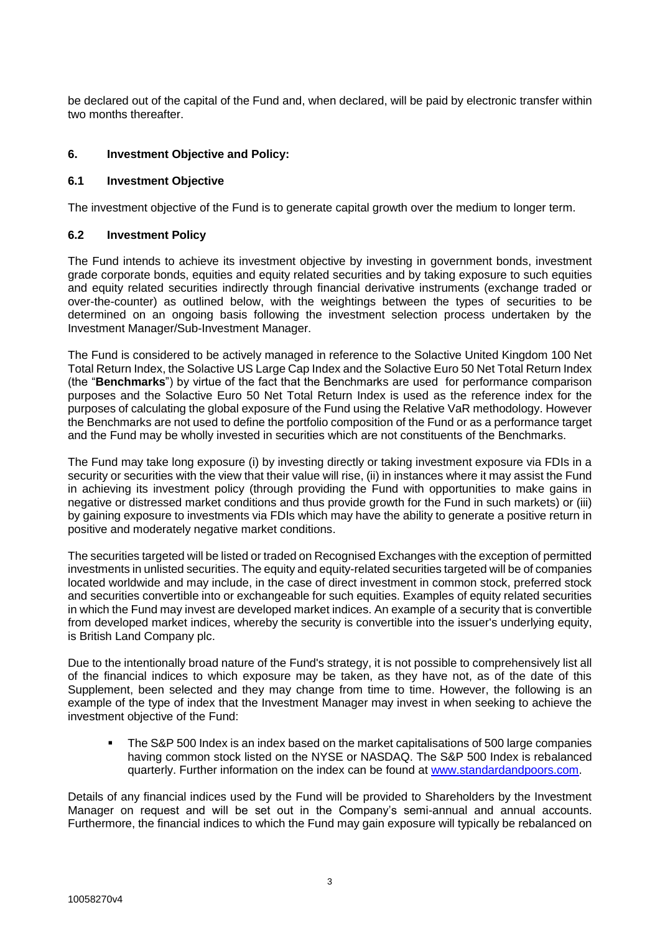be declared out of the capital of the Fund and, when declared, will be paid by electronic transfer within two months thereafter.

## **6. Investment Objective and Policy:**

## **6.1 Investment Objective**

The investment objective of the Fund is to generate capital growth over the medium to longer term.

## **6.2 Investment Policy**

The Fund intends to achieve its investment objective by investing in government bonds, investment grade corporate bonds, equities and equity related securities and by taking exposure to such equities and equity related securities indirectly through financial derivative instruments (exchange traded or over-the-counter) as outlined below, with the weightings between the types of securities to be determined on an ongoing basis following the investment selection process undertaken by the Investment Manager/Sub-Investment Manager.

The Fund is considered to be actively managed in reference to the Solactive United Kingdom 100 Net Total Return Index, the Solactive US Large Cap Index and the Solactive Euro 50 Net Total Return Index (the "**Benchmarks**") by virtue of the fact that the Benchmarks are used for performance comparison purposes and the Solactive Euro 50 Net Total Return Index is used as the reference index for the purposes of calculating the global exposure of the Fund using the Relative VaR methodology. However the Benchmarks are not used to define the portfolio composition of the Fund or as a performance target and the Fund may be wholly invested in securities which are not constituents of the Benchmarks.

The Fund may take long exposure (i) by investing directly or taking investment exposure via FDIs in a security or securities with the view that their value will rise, (ii) in instances where it may assist the Fund in achieving its investment policy (through providing the Fund with opportunities to make gains in negative or distressed market conditions and thus provide growth for the Fund in such markets) or (iii) by gaining exposure to investments via FDIs which may have the ability to generate a positive return in positive and moderately negative market conditions.

The securities targeted will be listed or traded on Recognised Exchanges with the exception of permitted investments in unlisted securities. The equity and equity-related securities targeted will be of companies located worldwide and may include, in the case of direct investment in common stock, preferred stock and securities convertible into or exchangeable for such equities. Examples of equity related securities in which the Fund may invest are developed market indices. An example of a security that is convertible from developed market indices, whereby the security is convertible into the issuer's underlying equity, is British Land Company plc.

Due to the intentionally broad nature of the Fund's strategy, it is not possible to comprehensively list all of the financial indices to which exposure may be taken, as they have not, as of the date of this Supplement, been selected and they may change from time to time. However, the following is an example of the type of index that the Investment Manager may invest in when seeking to achieve the investment objective of the Fund:

 The S&P 500 Index is an index based on the market capitalisations of 500 large companies having common stock listed on the NYSE or NASDAQ. The S&P 500 Index is rebalanced quarterly. Further information on the index can be found at [www.standardandpoors.com.](http://www.standardandpoors.com/)

Details of any financial indices used by the Fund will be provided to Shareholders by the Investment Manager on request and will be set out in the Company's semi-annual and annual accounts. Furthermore, the financial indices to which the Fund may gain exposure will typically be rebalanced on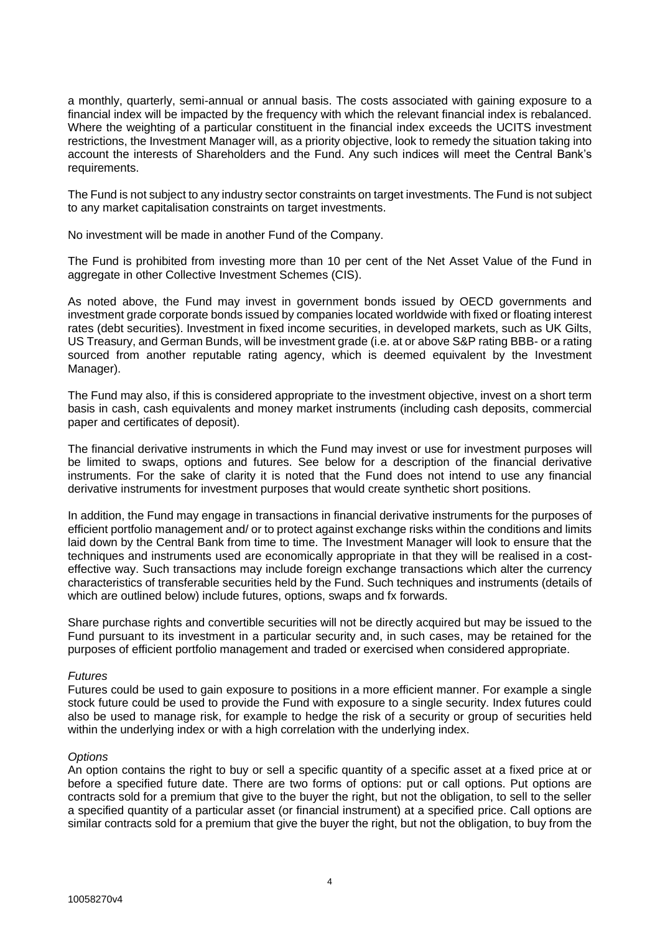a monthly, quarterly, semi-annual or annual basis. The costs associated with gaining exposure to a financial index will be impacted by the frequency with which the relevant financial index is rebalanced. Where the weighting of a particular constituent in the financial index exceeds the UCITS investment restrictions, the Investment Manager will, as a priority objective, look to remedy the situation taking into account the interests of Shareholders and the Fund. Any such indices will meet the Central Bank's requirements.

The Fund is not subject to any industry sector constraints on target investments. The Fund is not subject to any market capitalisation constraints on target investments.

No investment will be made in another Fund of the Company.

The Fund is prohibited from investing more than 10 per cent of the Net Asset Value of the Fund in aggregate in other Collective Investment Schemes (CIS).

As noted above, the Fund may invest in government bonds issued by OECD governments and investment grade corporate bonds issued by companies located worldwide with fixed or floating interest rates (debt securities). Investment in fixed income securities, in developed markets, such as UK Gilts, US Treasury, and German Bunds, will be investment grade (i.e. at or above S&P rating BBB- or a rating sourced from another reputable rating agency, which is deemed equivalent by the Investment Manager).

The Fund may also, if this is considered appropriate to the investment objective, invest on a short term basis in cash, cash equivalents and money market instruments (including cash deposits, commercial paper and certificates of deposit).

The financial derivative instruments in which the Fund may invest or use for investment purposes will be limited to swaps, options and futures. See below for a description of the financial derivative instruments. For the sake of clarity it is noted that the Fund does not intend to use any financial derivative instruments for investment purposes that would create synthetic short positions.

In addition, the Fund may engage in transactions in financial derivative instruments for the purposes of efficient portfolio management and/ or to protect against exchange risks within the conditions and limits laid down by the Central Bank from time to time. The Investment Manager will look to ensure that the techniques and instruments used are economically appropriate in that they will be realised in a costeffective way. Such transactions may include foreign exchange transactions which alter the currency characteristics of transferable securities held by the Fund. Such techniques and instruments (details of which are outlined below) include futures, options, swaps and fx forwards.

Share purchase rights and convertible securities will not be directly acquired but may be issued to the Fund pursuant to its investment in a particular security and, in such cases, may be retained for the purposes of efficient portfolio management and traded or exercised when considered appropriate.

### *Futures*

Futures could be used to gain exposure to positions in a more efficient manner. For example a single stock future could be used to provide the Fund with exposure to a single security. Index futures could also be used to manage risk, for example to hedge the risk of a security or group of securities held within the underlying index or with a high correlation with the underlying index.

### *Options*

An option contains the right to buy or sell a specific quantity of a specific asset at a fixed price at or before a specified future date. There are two forms of options: put or call options. Put options are contracts sold for a premium that give to the buyer the right, but not the obligation, to sell to the seller a specified quantity of a particular asset (or financial instrument) at a specified price. Call options are similar contracts sold for a premium that give the buyer the right, but not the obligation, to buy from the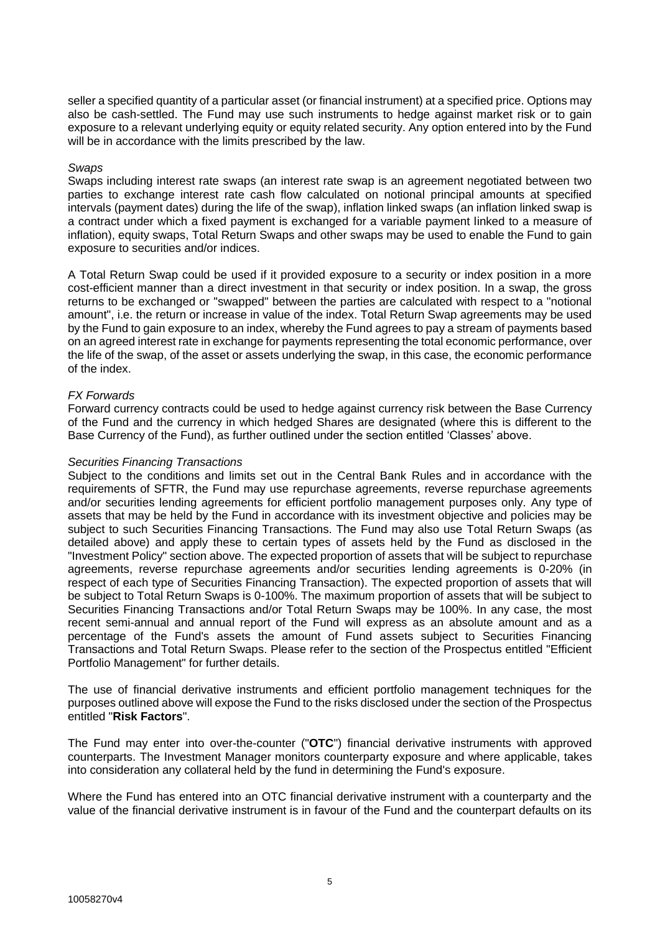seller a specified quantity of a particular asset (or financial instrument) at a specified price. Options may also be cash-settled. The Fund may use such instruments to hedge against market risk or to gain exposure to a relevant underlying equity or equity related security. Any option entered into by the Fund will be in accordance with the limits prescribed by the law.

## *Swaps*

Swaps including interest rate swaps (an interest rate swap is an agreement negotiated between two parties to exchange interest rate cash flow calculated on notional principal amounts at specified intervals (payment dates) during the life of the swap), inflation linked swaps (an inflation linked swap is a contract under which a fixed payment is exchanged for a variable payment linked to a measure of inflation), equity swaps, Total Return Swaps and other swaps may be used to enable the Fund to gain exposure to securities and/or indices.

A Total Return Swap could be used if it provided exposure to a security or index position in a more cost-efficient manner than a direct investment in that security or index position. In a swap, the gross returns to be exchanged or "swapped" between the parties are calculated with respect to a "notional amount", i.e. the return or increase in value of the index. Total Return Swap agreements may be used by the Fund to gain exposure to an index, whereby the Fund agrees to pay a stream of payments based on an agreed interest rate in exchange for payments representing the total economic performance, over the life of the swap, of the asset or assets underlying the swap, in this case, the economic performance of the index.

## *FX Forwards*

Forward currency contracts could be used to hedge against currency risk between the Base Currency of the Fund and the currency in which hedged Shares are designated (where this is different to the Base Currency of the Fund), as further outlined under the section entitled 'Classes' above.

## *Securities Financing Transactions*

Subject to the conditions and limits set out in the Central Bank Rules and in accordance with the requirements of SFTR, the Fund may use repurchase agreements, reverse repurchase agreements and/or securities lending agreements for efficient portfolio management purposes only. Any type of assets that may be held by the Fund in accordance with its investment objective and policies may be subject to such Securities Financing Transactions. The Fund may also use Total Return Swaps (as detailed above) and apply these to certain types of assets held by the Fund as disclosed in the "Investment Policy" section above. The expected proportion of assets that will be subject to repurchase agreements, reverse repurchase agreements and/or securities lending agreements is 0-20% (in respect of each type of Securities Financing Transaction). The expected proportion of assets that will be subject to Total Return Swaps is 0-100%. The maximum proportion of assets that will be subject to Securities Financing Transactions and/or Total Return Swaps may be 100%. In any case, the most recent semi-annual and annual report of the Fund will express as an absolute amount and as a percentage of the Fund's assets the amount of Fund assets subject to Securities Financing Transactions and Total Return Swaps. Please refer to the section of the Prospectus entitled "Efficient Portfolio Management" for further details.

The use of financial derivative instruments and efficient portfolio management techniques for the purposes outlined above will expose the Fund to the risks disclosed under the section of the Prospectus entitled "**Risk Factors**".

The Fund may enter into over-the-counter ("**OTC**") financial derivative instruments with approved counterparts. The Investment Manager monitors counterparty exposure and where applicable, takes into consideration any collateral held by the fund in determining the Fund's exposure.

Where the Fund has entered into an OTC financial derivative instrument with a counterparty and the value of the financial derivative instrument is in favour of the Fund and the counterpart defaults on its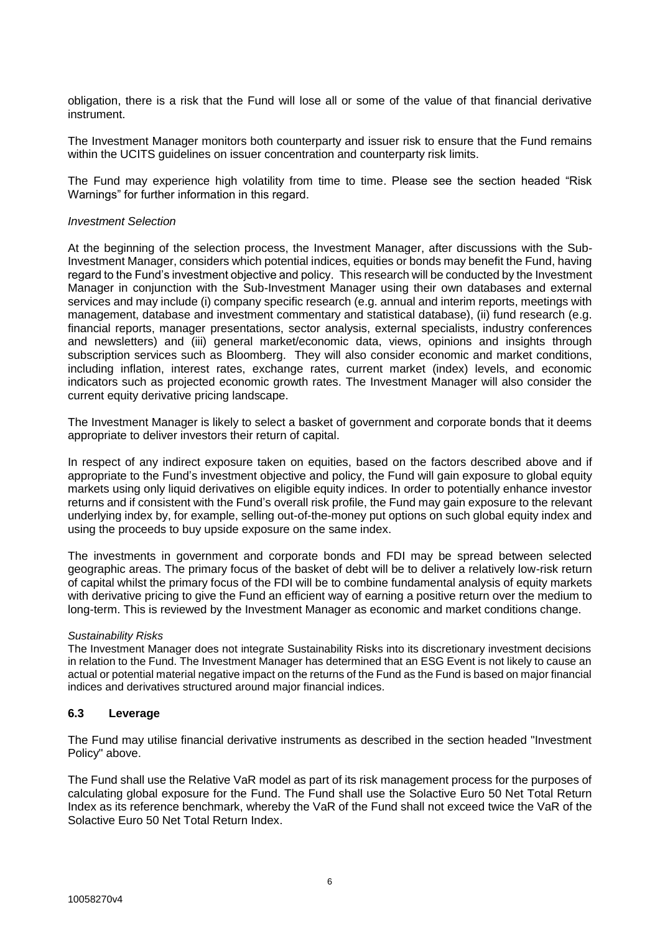obligation, there is a risk that the Fund will lose all or some of the value of that financial derivative instrument.

The Investment Manager monitors both counterparty and issuer risk to ensure that the Fund remains within the UCITS quidelines on issuer concentration and counterparty risk limits.

The Fund may experience high volatility from time to time. Please see the section headed "Risk Warnings" for further information in this regard.

#### *Investment Selection*

At the beginning of the selection process, the Investment Manager, after discussions with the Sub-Investment Manager, considers which potential indices, equities or bonds may benefit the Fund, having regard to the Fund's investment objective and policy. This research will be conducted by the Investment Manager in conjunction with the Sub-Investment Manager using their own databases and external services and may include (i) company specific research (e.g. annual and interim reports, meetings with management, database and investment commentary and statistical database), (ii) fund research (e.g. financial reports, manager presentations, sector analysis, external specialists, industry conferences and newsletters) and (iii) general market/economic data, views, opinions and insights through subscription services such as Bloomberg. They will also consider economic and market conditions, including inflation, interest rates, exchange rates, current market (index) levels, and economic indicators such as projected economic growth rates. The Investment Manager will also consider the current equity derivative pricing landscape.

The Investment Manager is likely to select a basket of government and corporate bonds that it deems appropriate to deliver investors their return of capital.

In respect of any indirect exposure taken on equities, based on the factors described above and if appropriate to the Fund's investment objective and policy, the Fund will gain exposure to global equity markets using only liquid derivatives on eligible equity indices. In order to potentially enhance investor returns and if consistent with the Fund's overall risk profile, the Fund may gain exposure to the relevant underlying index by, for example, selling out-of-the-money put options on such global equity index and using the proceeds to buy upside exposure on the same index.

The investments in government and corporate bonds and FDI may be spread between selected geographic areas. The primary focus of the basket of debt will be to deliver a relatively low-risk return of capital whilst the primary focus of the FDI will be to combine fundamental analysis of equity markets with derivative pricing to give the Fund an efficient way of earning a positive return over the medium to long-term. This is reviewed by the Investment Manager as economic and market conditions change.

### *Sustainability Risks*

The Investment Manager does not integrate Sustainability Risks into its discretionary investment decisions in relation to the Fund. The Investment Manager has determined that an ESG Event is not likely to cause an actual or potential material negative impact on the returns of the Fund as the Fund is based on major financial indices and derivatives structured around major financial indices.

### **6.3 Leverage**

The Fund may utilise financial derivative instruments as described in the section headed "Investment Policy" above.

The Fund shall use the Relative VaR model as part of its risk management process for the purposes of calculating global exposure for the Fund. The Fund shall use the Solactive Euro 50 Net Total Return Index as its reference benchmark, whereby the VaR of the Fund shall not exceed twice the VaR of the Solactive Euro 50 Net Total Return Index.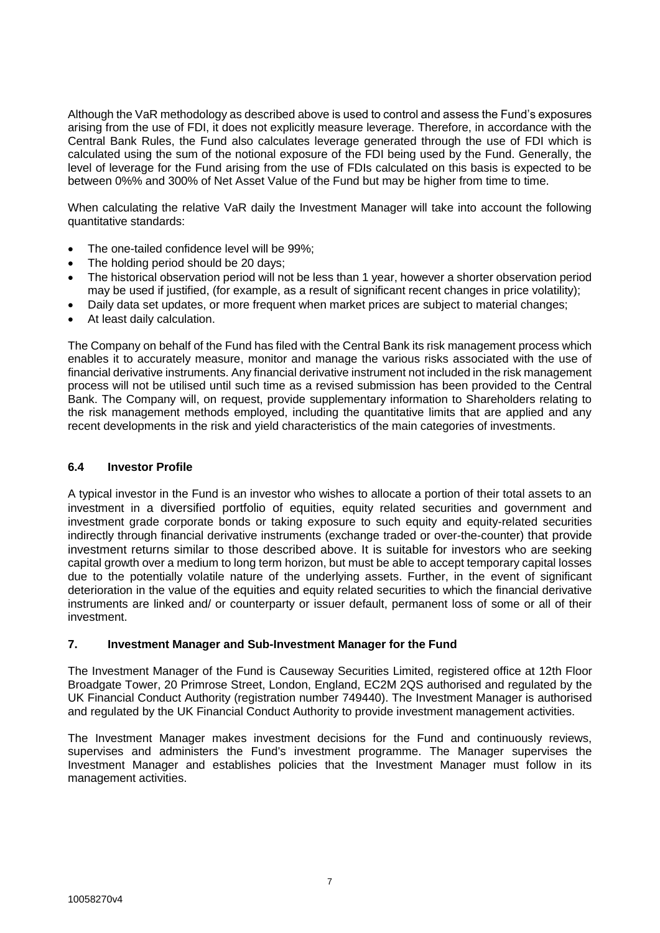Although the VaR methodology as described above is used to control and assess the Fund's exposures arising from the use of FDI, it does not explicitly measure leverage. Therefore, in accordance with the Central Bank Rules, the Fund also calculates leverage generated through the use of FDI which is calculated using the sum of the notional exposure of the FDI being used by the Fund. Generally, the level of leverage for the Fund arising from the use of FDIs calculated on this basis is expected to be between 0%% and 300% of Net Asset Value of the Fund but may be higher from time to time.

When calculating the relative VaR daily the Investment Manager will take into account the following quantitative standards:

- The one-tailed confidence level will be 99%;
- The holding period should be 20 days;
- The historical observation period will not be less than 1 year, however a shorter observation period may be used if justified, (for example, as a result of significant recent changes in price volatility);
- Daily data set updates, or more frequent when market prices are subject to material changes;
- At least daily calculation.

The Company on behalf of the Fund has filed with the Central Bank its risk management process which enables it to accurately measure, monitor and manage the various risks associated with the use of financial derivative instruments. Any financial derivative instrument not included in the risk management process will not be utilised until such time as a revised submission has been provided to the Central Bank. The Company will, on request, provide supplementary information to Shareholders relating to the risk management methods employed, including the quantitative limits that are applied and any recent developments in the risk and yield characteristics of the main categories of investments.

## **6.4 Investor Profile**

A typical investor in the Fund is an investor who wishes to allocate a portion of their total assets to an investment in a diversified portfolio of equities, equity related securities and government and investment grade corporate bonds or taking exposure to such equity and equity-related securities indirectly through financial derivative instruments (exchange traded or over-the-counter) that provide investment returns similar to those described above. It is suitable for investors who are seeking capital growth over a medium to long term horizon, but must be able to accept temporary capital losses due to the potentially volatile nature of the underlying assets. Further, in the event of significant deterioration in the value of the equities and equity related securities to which the financial derivative instruments are linked and/ or counterparty or issuer default, permanent loss of some or all of their investment.

### **7. Investment Manager and Sub-Investment Manager for the Fund**

The Investment Manager of the Fund is Causeway Securities Limited, registered office at 12th Floor Broadgate Tower, 20 Primrose Street, London, England, EC2M 2QS authorised and regulated by the UK Financial Conduct Authority (registration number 749440). The Investment Manager is authorised and regulated by the UK Financial Conduct Authority to provide investment management activities.

The Investment Manager makes investment decisions for the Fund and continuously reviews, supervises and administers the Fund's investment programme. The Manager supervises the Investment Manager and establishes policies that the Investment Manager must follow in its management activities.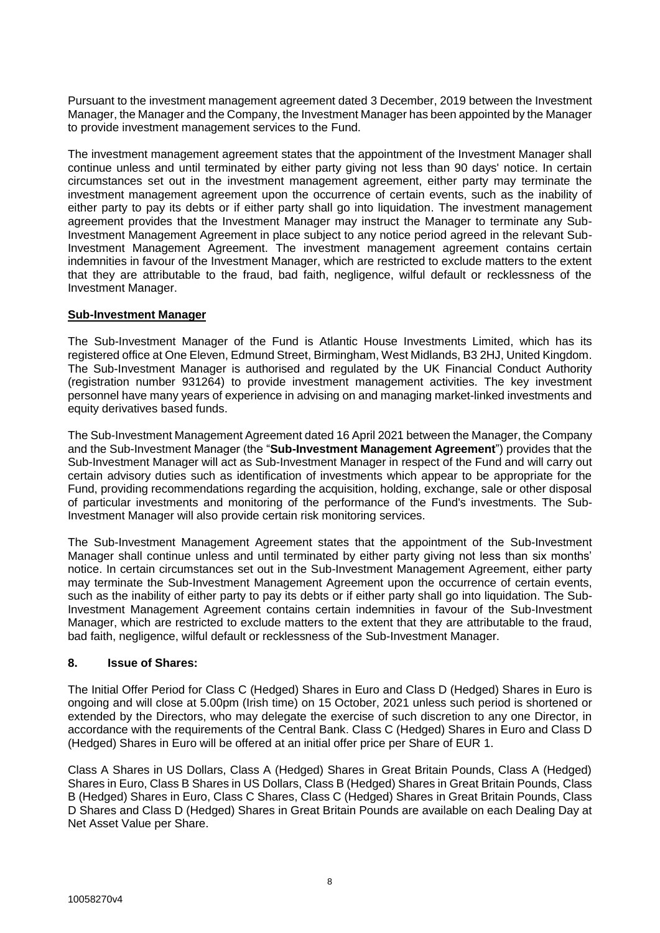Pursuant to the investment management agreement dated 3 December, 2019 between the Investment Manager, the Manager and the Company, the Investment Manager has been appointed by the Manager to provide investment management services to the Fund.

The investment management agreement states that the appointment of the Investment Manager shall continue unless and until terminated by either party giving not less than 90 days' notice. In certain circumstances set out in the investment management agreement, either party may terminate the investment management agreement upon the occurrence of certain events, such as the inability of either party to pay its debts or if either party shall go into liquidation. The investment management agreement provides that the Investment Manager may instruct the Manager to terminate any Sub-Investment Management Agreement in place subject to any notice period agreed in the relevant Sub-Investment Management Agreement. The investment management agreement contains certain indemnities in favour of the Investment Manager, which are restricted to exclude matters to the extent that they are attributable to the fraud, bad faith, negligence, wilful default or recklessness of the Investment Manager.

# **Sub-Investment Manager**

The Sub-Investment Manager of the Fund is Atlantic House Investments Limited, which has its registered office at One Eleven, Edmund Street, Birmingham, West Midlands, B3 2HJ, United Kingdom. The Sub-Investment Manager is authorised and regulated by the UK Financial Conduct Authority (registration number 931264) to provide investment management activities. The key investment personnel have many years of experience in advising on and managing market-linked investments and equity derivatives based funds.

The Sub-Investment Management Agreement dated 16 April 2021 between the Manager, the Company and the Sub-Investment Manager (the "**Sub-Investment Management Agreement**") provides that the Sub-Investment Manager will act as Sub-Investment Manager in respect of the Fund and will carry out certain advisory duties such as identification of investments which appear to be appropriate for the Fund, providing recommendations regarding the acquisition, holding, exchange, sale or other disposal of particular investments and monitoring of the performance of the Fund's investments. The Sub-Investment Manager will also provide certain risk monitoring services.

The Sub-Investment Management Agreement states that the appointment of the Sub-Investment Manager shall continue unless and until terminated by either party giving not less than six months' notice. In certain circumstances set out in the Sub-Investment Management Agreement, either party may terminate the Sub-Investment Management Agreement upon the occurrence of certain events, such as the inability of either party to pay its debts or if either party shall go into liquidation. The Sub-Investment Management Agreement contains certain indemnities in favour of the Sub-Investment Manager, which are restricted to exclude matters to the extent that they are attributable to the fraud, bad faith, negligence, wilful default or recklessness of the Sub-Investment Manager.

# **8. Issue of Shares:**

The Initial Offer Period for Class C (Hedged) Shares in Euro and Class D (Hedged) Shares in Euro is ongoing and will close at 5.00pm (Irish time) on 15 October, 2021 unless such period is shortened or extended by the Directors, who may delegate the exercise of such discretion to any one Director, in accordance with the requirements of the Central Bank. Class C (Hedged) Shares in Euro and Class D (Hedged) Shares in Euro will be offered at an initial offer price per Share of EUR 1.

Class A Shares in US Dollars, Class A (Hedged) Shares in Great Britain Pounds, Class A (Hedged) Shares in Euro, Class B Shares in US Dollars, Class B (Hedged) Shares in Great Britain Pounds, Class B (Hedged) Shares in Euro, Class C Shares, Class C (Hedged) Shares in Great Britain Pounds, Class D Shares and Class D (Hedged) Shares in Great Britain Pounds are available on each Dealing Day at Net Asset Value per Share.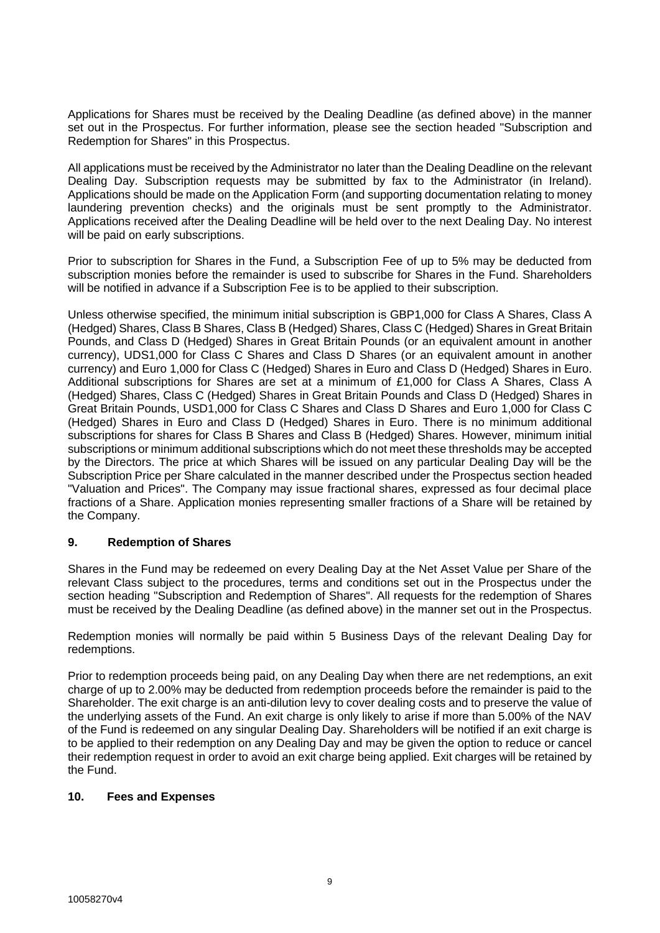Applications for Shares must be received by the Dealing Deadline (as defined above) in the manner set out in the Prospectus. For further information, please see the section headed "Subscription and Redemption for Shares" in this Prospectus.

All applications must be received by the Administrator no later than the Dealing Deadline on the relevant Dealing Day. Subscription requests may be submitted by fax to the Administrator (in Ireland). Applications should be made on the Application Form (and supporting documentation relating to money laundering prevention checks) and the originals must be sent promptly to the Administrator. Applications received after the Dealing Deadline will be held over to the next Dealing Day. No interest will be paid on early subscriptions.

Prior to subscription for Shares in the Fund, a Subscription Fee of up to 5% may be deducted from subscription monies before the remainder is used to subscribe for Shares in the Fund. Shareholders will be notified in advance if a Subscription Fee is to be applied to their subscription.

Unless otherwise specified, the minimum initial subscription is GBP1,000 for Class A Shares, Class A (Hedged) Shares, Class B Shares, Class B (Hedged) Shares, Class C (Hedged) Shares in Great Britain Pounds, and Class D (Hedged) Shares in Great Britain Pounds (or an equivalent amount in another currency), UDS1,000 for Class C Shares and Class D Shares (or an equivalent amount in another currency) and Euro 1,000 for Class C (Hedged) Shares in Euro and Class D (Hedged) Shares in Euro. Additional subscriptions for Shares are set at a minimum of £1,000 for Class A Shares, Class A (Hedged) Shares, Class C (Hedged) Shares in Great Britain Pounds and Class D (Hedged) Shares in Great Britain Pounds, USD1,000 for Class C Shares and Class D Shares and Euro 1,000 for Class C (Hedged) Shares in Euro and Class D (Hedged) Shares in Euro. There is no minimum additional subscriptions for shares for Class B Shares and Class B (Hedged) Shares. However, minimum initial subscriptions or minimum additional subscriptions which do not meet these thresholds may be accepted by the Directors. The price at which Shares will be issued on any particular Dealing Day will be the Subscription Price per Share calculated in the manner described under the Prospectus section headed "Valuation and Prices". The Company may issue fractional shares, expressed as four decimal place fractions of a Share. Application monies representing smaller fractions of a Share will be retained by the Company.

# **9. Redemption of Shares**

Shares in the Fund may be redeemed on every Dealing Day at the Net Asset Value per Share of the relevant Class subject to the procedures, terms and conditions set out in the Prospectus under the section heading "Subscription and Redemption of Shares". All requests for the redemption of Shares must be received by the Dealing Deadline (as defined above) in the manner set out in the Prospectus.

Redemption monies will normally be paid within 5 Business Days of the relevant Dealing Day for redemptions.

Prior to redemption proceeds being paid, on any Dealing Day when there are net redemptions, an exit charge of up to 2.00% may be deducted from redemption proceeds before the remainder is paid to the Shareholder. The exit charge is an anti-dilution levy to cover dealing costs and to preserve the value of the underlying assets of the Fund. An exit charge is only likely to arise if more than 5.00% of the NAV of the Fund is redeemed on any singular Dealing Day. Shareholders will be notified if an exit charge is to be applied to their redemption on any Dealing Day and may be given the option to reduce or cancel their redemption request in order to avoid an exit charge being applied. Exit charges will be retained by the Fund.

### **10. Fees and Expenses**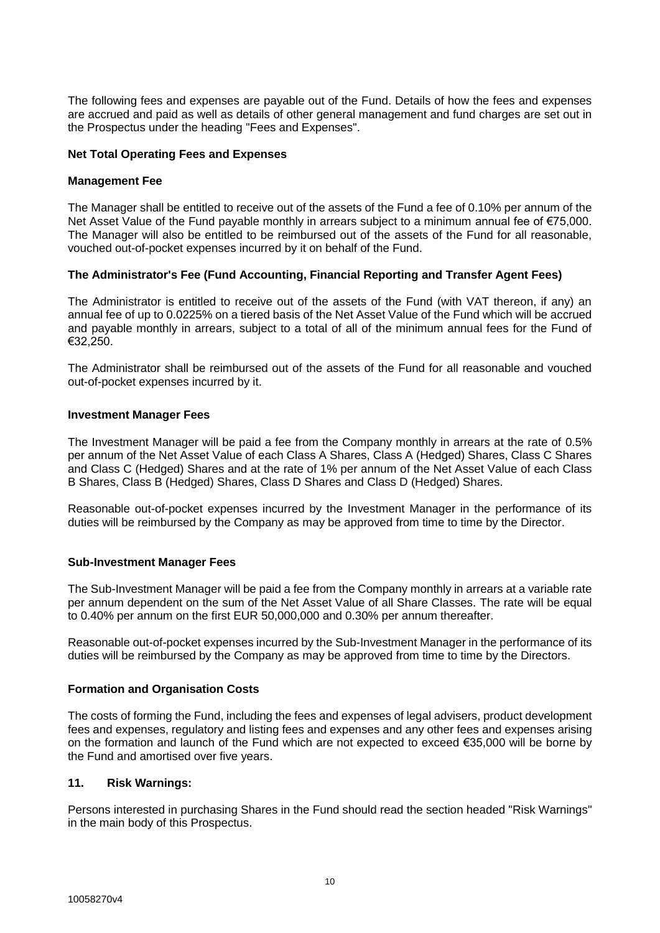The following fees and expenses are payable out of the Fund. Details of how the fees and expenses are accrued and paid as well as details of other general management and fund charges are set out in the Prospectus under the heading "Fees and Expenses".

## **Net Total Operating Fees and Expenses**

## **Management Fee**

The Manager shall be entitled to receive out of the assets of the Fund a fee of 0.10% per annum of the Net Asset Value of the Fund payable monthly in arrears subject to a minimum annual fee of €75,000. The Manager will also be entitled to be reimbursed out of the assets of the Fund for all reasonable, vouched out-of-pocket expenses incurred by it on behalf of the Fund.

## **The Administrator's Fee (Fund Accounting, Financial Reporting and Transfer Agent Fees)**

The Administrator is entitled to receive out of the assets of the Fund (with VAT thereon, if any) an annual fee of up to 0.0225% on a tiered basis of the Net Asset Value of the Fund which will be accrued and payable monthly in arrears, subject to a total of all of the minimum annual fees for the Fund of €32,250.

The Administrator shall be reimbursed out of the assets of the Fund for all reasonable and vouched out-of-pocket expenses incurred by it.

## **Investment Manager Fees**

The Investment Manager will be paid a fee from the Company monthly in arrears at the rate of 0.5% per annum of the Net Asset Value of each Class A Shares, Class A (Hedged) Shares, Class C Shares and Class C (Hedged) Shares and at the rate of 1% per annum of the Net Asset Value of each Class B Shares, Class B (Hedged) Shares, Class D Shares and Class D (Hedged) Shares.

Reasonable out-of-pocket expenses incurred by the Investment Manager in the performance of its duties will be reimbursed by the Company as may be approved from time to time by the Director.

# **Sub-Investment Manager Fees**

The Sub-Investment Manager will be paid a fee from the Company monthly in arrears at a variable rate per annum dependent on the sum of the Net Asset Value of all Share Classes. The rate will be equal to 0.40% per annum on the first EUR 50,000,000 and 0.30% per annum thereafter.

Reasonable out-of-pocket expenses incurred by the Sub-Investment Manager in the performance of its duties will be reimbursed by the Company as may be approved from time to time by the Directors.

### **Formation and Organisation Costs**

The costs of forming the Fund, including the fees and expenses of legal advisers, product development fees and expenses, regulatory and listing fees and expenses and any other fees and expenses arising on the formation and launch of the Fund which are not expected to exceed €35,000 will be borne by the Fund and amortised over five years.

## **11. Risk Warnings:**

Persons interested in purchasing Shares in the Fund should read the section headed "Risk Warnings" in the main body of this Prospectus.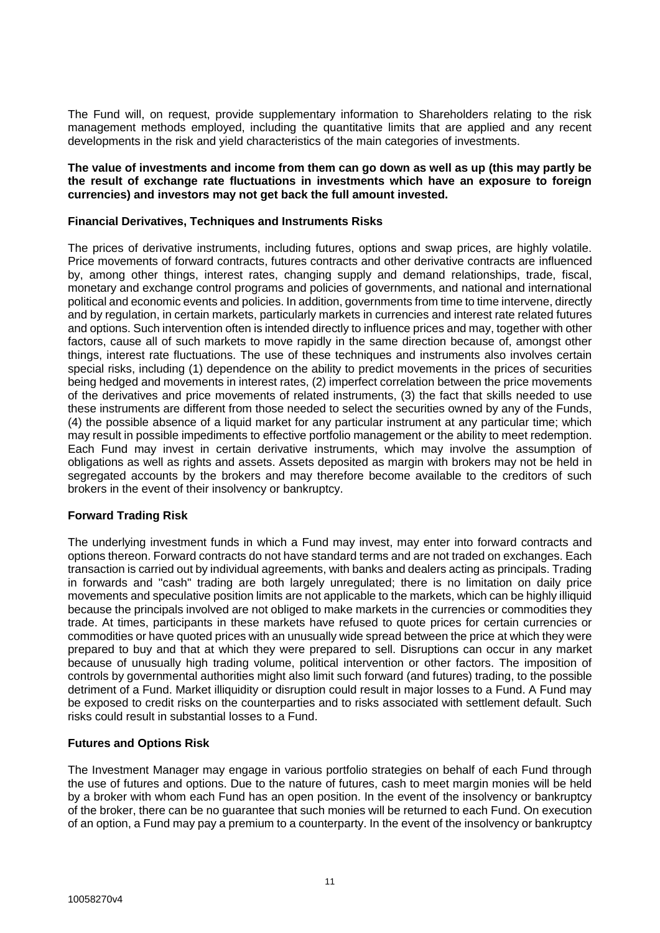The Fund will, on request, provide supplementary information to Shareholders relating to the risk management methods employed, including the quantitative limits that are applied and any recent developments in the risk and yield characteristics of the main categories of investments.

#### **The value of investments and income from them can go down as well as up (this may partly be the result of exchange rate fluctuations in investments which have an exposure to foreign currencies) and investors may not get back the full amount invested.**

## **Financial Derivatives, Techniques and Instruments Risks**

The prices of derivative instruments, including futures, options and swap prices, are highly volatile. Price movements of forward contracts, futures contracts and other derivative contracts are influenced by, among other things, interest rates, changing supply and demand relationships, trade, fiscal, monetary and exchange control programs and policies of governments, and national and international political and economic events and policies. In addition, governments from time to time intervene, directly and by regulation, in certain markets, particularly markets in currencies and interest rate related futures and options. Such intervention often is intended directly to influence prices and may, together with other factors, cause all of such markets to move rapidly in the same direction because of, amongst other things, interest rate fluctuations. The use of these techniques and instruments also involves certain special risks, including (1) dependence on the ability to predict movements in the prices of securities being hedged and movements in interest rates, (2) imperfect correlation between the price movements of the derivatives and price movements of related instruments, (3) the fact that skills needed to use these instruments are different from those needed to select the securities owned by any of the Funds, (4) the possible absence of a liquid market for any particular instrument at any particular time; which may result in possible impediments to effective portfolio management or the ability to meet redemption. Each Fund may invest in certain derivative instruments, which may involve the assumption of obligations as well as rights and assets. Assets deposited as margin with brokers may not be held in segregated accounts by the brokers and may therefore become available to the creditors of such brokers in the event of their insolvency or bankruptcy.

### **Forward Trading Risk**

The underlying investment funds in which a Fund may invest, may enter into forward contracts and options thereon. Forward contracts do not have standard terms and are not traded on exchanges. Each transaction is carried out by individual agreements, with banks and dealers acting as principals. Trading in forwards and "cash" trading are both largely unregulated; there is no limitation on daily price movements and speculative position limits are not applicable to the markets, which can be highly illiquid because the principals involved are not obliged to make markets in the currencies or commodities they trade. At times, participants in these markets have refused to quote prices for certain currencies or commodities or have quoted prices with an unusually wide spread between the price at which they were prepared to buy and that at which they were prepared to sell. Disruptions can occur in any market because of unusually high trading volume, political intervention or other factors. The imposition of controls by governmental authorities might also limit such forward (and futures) trading, to the possible detriment of a Fund. Market illiquidity or disruption could result in major losses to a Fund. A Fund may be exposed to credit risks on the counterparties and to risks associated with settlement default. Such risks could result in substantial losses to a Fund.

### **Futures and Options Risk**

The Investment Manager may engage in various portfolio strategies on behalf of each Fund through the use of futures and options. Due to the nature of futures, cash to meet margin monies will be held by a broker with whom each Fund has an open position. In the event of the insolvency or bankruptcy of the broker, there can be no guarantee that such monies will be returned to each Fund. On execution of an option, a Fund may pay a premium to a counterparty. In the event of the insolvency or bankruptcy